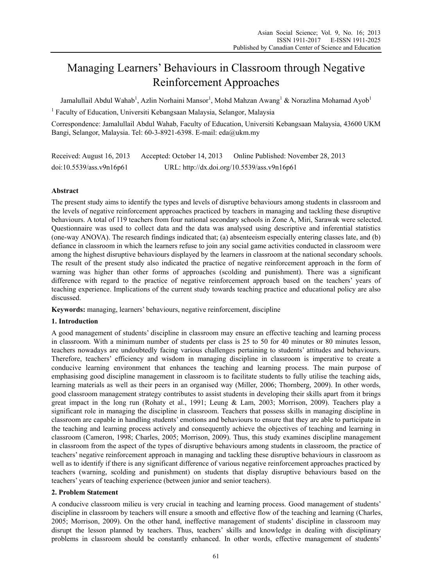# Managing Learners' Behaviours in Classroom through Negative Reinforcement Approaches

Jamalullail Abdul Wahab<sup>1</sup>, Azlin Norhaini Mansor<sup>1</sup>, Mohd Mahzan Awang<sup>1</sup> & Norazlina Mohamad Ayob<sup>1</sup>

<sup>1</sup> Faculty of Education, Universiti Kebangsaan Malaysia, Selangor, Malaysia

Correspondence: Jamalullail Abdul Wahab, Faculty of Education, Universiti Kebangsaan Malaysia, 43600 UKM Bangi, Selangor, Malaysia. Tel: 60-3-8921-6398. E-mail: eda@ukm.my

Received: August 16, 2013 Accepted: October 14, 2013 Online Published: November 28, 2013 doi:10.5539/ass.v9n16p61 URL: http://dx.doi.org/10.5539/ass.v9n16p61

# **Abstract**

The present study aims to identify the types and levels of disruptive behaviours among students in classroom and the levels of negative reinforcement approaches practiced by teachers in managing and tackling these disruptive behaviours. A total of 119 teachers from four national secondary schools in Zone A, Miri, Sarawak were selected. Questionnaire was used to collect data and the data was analysed using descriptive and inferential statistics (one-way ANOVA). The research findings indicated that; (a) absenteeism especially entering classes late, and (b) defiance in classroom in which the learners refuse to join any social game activities conducted in classroom were among the highest disruptive behaviours displayed by the learners in classroom at the national secondary schools. The result of the present study also indicated the practice of negative reinforcement approach in the form of warning was higher than other forms of approaches (scolding and punishment). There was a significant difference with regard to the practice of negative reinforcement approach based on the teachers' years of teaching experience. Implications of the current study towards teaching practice and educational policy are also discussed.

**Keywords:** managing, learners' behaviours, negative reinforcement, discipline

#### **1. Introduction**

A good management of students' discipline in classroom may ensure an effective teaching and learning process in classroom. With a minimum number of students per class is 25 to 50 for 40 minutes or 80 minutes lesson, teachers nowadays are undoubtedly facing various challenges pertaining to students' attitudes and behaviours. Therefore, teachers' efficiency and wisdom in managing discipline in classroom is imperative to create a conducive learning environment that enhances the teaching and learning process. The main purpose of emphasising good discipline management in classroom is to facilitate students to fully utilise the teaching aids, learning materials as well as their peers in an organised way (Miller, 2006; Thornberg, 2009). In other words, good classroom management strategy contributes to assist students in developing their skills apart from it brings great impact in the long run (Rohaty et al., 1991; Leung & Lam, 2003; Morrison, 2009). Teachers play a significant role in managing the discipline in classroom. Teachers that possess skills in managing discipline in classroom are capable in handling students' emotions and behaviours to ensure that they are able to participate in the teaching and learning process actively and consequently achieve the objectives of teaching and learning in classroom (Cameron, 1998; Charles, 2005; Morrison, 2009). Thus, this study examines discipline management in classroom from the aspect of the types of disruptive behaviours among students in classroom, the practice of teachers' negative reinforcement approach in managing and tackling these disruptive behaviours in classroom as well as to identify if there is any significant difference of various negative reinforcement approaches practiced by teachers (warning, scolding and punishment) on students that display disruptive behaviours based on the teachers' years of teaching experience (between junior and senior teachers).

#### **2. Problem Statement**

A conducive classroom milieu is very crucial in teaching and learning process. Good management of students' discipline in classroom by teachers will ensure a smooth and effective flow of the teaching and learning (Charles, 2005; Morrison, 2009). On the other hand, ineffective management of students' discipline in classroom may disrupt the lesson planned by teachers. Thus, teachers' skills and knowledge in dealing with disciplinary problems in classroom should be constantly enhanced. In other words, effective management of students'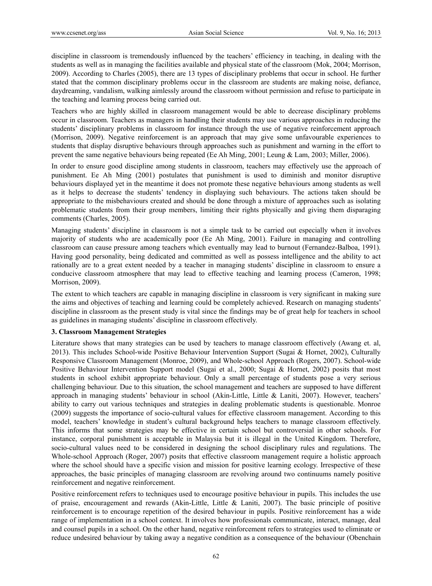discipline in classroom is tremendously influenced by the teachers' efficiency in teaching, in dealing with the students as well as in managing the facilities available and physical state of the classroom (Mok, 2004; Morrison, 2009). According to Charles (2005), there are 13 types of disciplinary problems that occur in school. He further stated that the common disciplinary problems occur in the classroom are students are making noise, defiance, daydreaming, vandalism, walking aimlessly around the classroom without permission and refuse to participate in the teaching and learning process being carried out.

Teachers who are highly skilled in classroom management would be able to decrease disciplinary problems occur in classroom. Teachers as managers in handling their students may use various approaches in reducing the students' disciplinary problems in classroom for instance through the use of negative reinforcement approach (Morrison, 2009). Negative reinforcement is an approach that may give some unfavourable experiences to students that display disruptive behaviours through approaches such as punishment and warning in the effort to prevent the same negative behaviours being repeated (Ee Ah Ming, 2001; Leung & Lam, 2003; Miller, 2006).

In order to ensure good discipline among students in classroom, teachers may effectively use the approach of punishment. Ee Ah Ming (2001) postulates that punishment is used to diminish and monitor disruptive behaviours displayed yet in the meantime it does not promote these negative behaviours among students as well as it helps to decrease the students' tendency in displaying such behaviours. The actions taken should be appropriate to the misbehaviours created and should be done through a mixture of approaches such as isolating problematic students from their group members, limiting their rights physically and giving them disparaging comments (Charles, 2005).

Managing students' discipline in classroom is not a simple task to be carried out especially when it involves majority of students who are academically poor (Ee Ah Ming, 2001). Failure in managing and controlling classroom can cause pressure among teachers which eventually may lead to burnout (Fernandez-Balboa, 1991). Having good personality, being dedicated and committed as well as possess intelligence and the ability to act rationally are to a great extent needed by a teacher in managing students' discipline in classroom to ensure a conducive classroom atmosphere that may lead to effective teaching and learning process (Cameron, 1998; Morrison, 2009).

The extent to which teachers are capable in managing discipline in classroom is very significant in making sure the aims and objectives of teaching and learning could be completely achieved. Research on managing students' discipline in classroom as the present study is vital since the findings may be of great help for teachers in school as guidelines in managing students' discipline in classroom effectively.

#### **3. Classroom Management Strategies**

Literature shows that many strategies can be used by teachers to manage classroom effectively (Awang et. al, 2013). This includes School-wide Positive Behaviour Intervention Support (Sugai & Hornet, 2002), Culturally Responsive Classroom Management (Monroe, 2009), and Whole-school Approach (Rogers, 2007). School-wide Positive Behaviour Intervention Support model (Sugai et al., 2000; Sugai & Hornet, 2002) posits that most students in school exhibit appropriate behaviour. Only a small percentage of students pose a very serious challenging behaviour. Due to this situation, the school management and teachers are supposed to have different approach in managing students' behaviour in school (Akin-Little, Little & Laniti, 2007). However, teachers' ability to carry out various techniques and strategies in dealing problematic students is questionable. Monroe (2009) suggests the importance of socio-cultural values for effective classroom management. According to this model, teachers' knowledge in student's cultural background helps teachers to manage classroom effectively. This informs that some strategies may be effective in certain school but controversial in other schools. For instance, corporal punishment is acceptable in Malaysia but it is illegal in the United Kingdom. Therefore, socio-cultural values need to be considered in designing the school disciplinary rules and regulations. The Whole-school Approach (Roger, 2007) posits that effective classroom management require a holistic approach where the school should have a specific vision and mission for positive learning ecology. Irrespective of these approaches, the basic principles of managing classroom are revolving around two continuums namely positive reinforcement and negative reinforcement.

Positive reinforcement refers to techniques used to encourage positive behaviour in pupils. This includes the use of praise, encouragement and rewards (Akin-Little, Little & Laniti, 2007). The basic principle of positive reinforcement is to encourage repetition of the desired behaviour in pupils. Positive reinforcement has a wide range of implementation in a school context. It involves how professionals communicate, interact, manage, deal and counsel pupils in a school. On the other hand, negative reinforcement refers to strategies used to eliminate or reduce undesired behaviour by taking away a negative condition as a consequence of the behaviour (Obenchain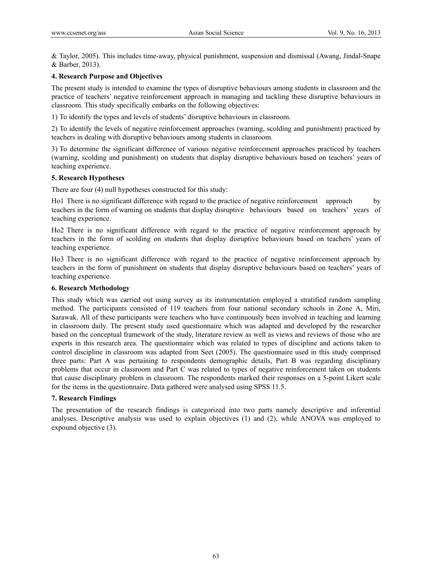& Taylor, 2005). This includes time-away, physical punishment, suspension and dismissal (Awang, Jindal-Snape & Barber, 2013).

# **4. Research Purpose and Objectives**

The present study is intended to examine the types of disruptive behaviours among students in classroom and the practice of teachers' negative reinforcement approach in managing and tackling these disruptive behaviours in classroom. This study specifically embarks on the following objectives:

1) To identify the types and levels of students' disruptive behaviours in classroom.

2) To identify the levels of negative reinforcement approaches (warning, scolding and punishment) practiced by teachers in dealing with disruptive behaviours among students in classroom.

3) To determine the significant difference of various negative reinforcement approaches practiced by teachers (warning, scolding and punishment) on students that display disruptive behaviours based on teachers' years of teaching experience.

### **5. Research Hypotheses**

There are four (4) null hypotheses constructed for this study:

Ho1 There is no significant difference with regard to the practice of negative reinforcement approach by teachers in the form of warning on students that display disruptive behaviours based on teachers' years of teaching experience.

Ho2 There is no significant difference with regard to the practice of negative reinforcement approach by teachers in the form of scolding on students that display disruptive behaviours based on teachers' years of teaching experience.

Ho3 There is no significant difference with regard to the practice of negative reinforcement approach by teachers in the form of punishment on students that display disruptive behaviours based on teachers' years of teaching experience.

### **6. Research Methodology**

This study which was carried out using survey as its instrumentation employed a stratified random sampling method. The participants consisted of 119 teachers from four national secondary schools in Zone A, Miri, Sarawak. All of these participants were teachers who have continuously been involved in teaching and learning in classroom daily. The present study used questionnaire which was adapted and developed by the researcher based on the conceptual framework of the study, literature review as well as views and reviews of those who are experts in this research area. The questionnaire which was related to types of discipline and actions taken to control discipline in classroom was adapted from Seet (2005). The questionnaire used in this study comprised three parts: Part A was pertaining to respondents demographic details, Part B was regarding disciplinary problems that occur in classroom and Part C was related to types of negative reinforcement taken on students that cause disciplinary problem in classroom. The respondents marked their responses on a 5-point Likert scale for the items in the questionnaire. Data gathered were analysed using SPSS 11.5.

#### **7. Research Findings**

The presentation of the research findings is categorized into two parts namely descriptive and inferential analyses. Descriptive analysis was used to explain objectives (1) and (2), while ANOVA was employed to expound objective (3).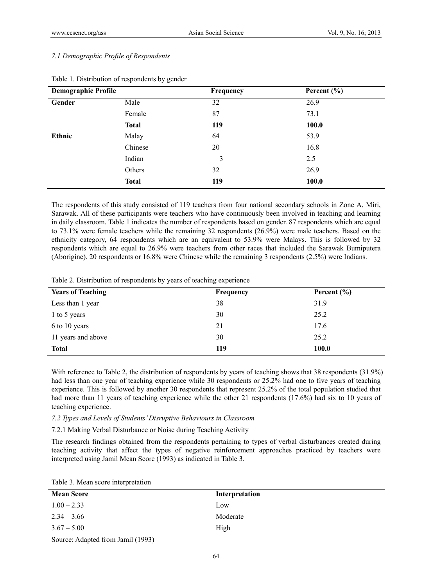# *7.1 Demographic Profile of Respondents*

| <b>Demographic Profile</b> |              | Frequency | Percent $(\% )$ |  |
|----------------------------|--------------|-----------|-----------------|--|
| Gender                     | Male         | 32        | 26.9            |  |
|                            | Female       | 87        | 73.1            |  |
|                            | <b>Total</b> | 119       | 100.0           |  |
| Ethnic                     | Malay        | 64        | 53.9            |  |
|                            | Chinese      | 20        | 16.8            |  |
|                            | Indian       | 3         | 2.5             |  |
|                            | Others       | 32        | 26.9            |  |
|                            | <b>Total</b> | 119       | <b>100.0</b>    |  |

# Table 1. Distribution of respondents by gender

The respondents of this study consisted of 119 teachers from four national secondary schools in Zone A, Miri, Sarawak. All of these participants were teachers who have continuously been involved in teaching and learning in daily classroom. Table 1 indicates the number of respondents based on gender. 87 respondents which are equal to 73.1% were female teachers while the remaining 32 respondents (26.9%) were male teachers. Based on the ethnicity category, 64 respondents which are an equivalent to 53.9% were Malays. This is followed by 32 respondents which are equal to 26.9% were teachers from other races that included the Sarawak Bumiputera (Aborigine). 20 respondents or 16.8% were Chinese while the remaining 3 respondents (2.5%) were Indians.

| Table 2. Distribution of respondents by years of teaching experience |  |  |
|----------------------------------------------------------------------|--|--|

| <b>Years of Teaching</b> | Frequency | Percent $(\% )$ |
|--------------------------|-----------|-----------------|
| Less than 1 year         | 38        | 31.9            |
| 1 to 5 years             | 30        | 25.2            |
| 6 to 10 years            | 21        | 17.6            |
| 11 years and above       | 30        | 25.2            |
| <b>Total</b>             | 119       | 100.0           |

With reference to Table 2, the distribution of respondents by years of teaching shows that 38 respondents (31.9%) had less than one year of teaching experience while 30 respondents or 25.2% had one to five years of teaching experience. This is followed by another 30 respondents that represent 25.2% of the total population studied that had more than 11 years of teaching experience while the other 21 respondents (17.6%) had six to 10 years of teaching experience.

*7.2 Types and Levels of Students' Disruptive Behaviours in Classroom* 

7.2.1 Making Verbal Disturbance or Noise during Teaching Activity

The research findings obtained from the respondents pertaining to types of verbal disturbances created during teaching activity that affect the types of negative reinforcement approaches practiced by teachers were interpreted using Jamil Mean Score (1993) as indicated in Table 3.

|  |  |  | Table 3. Mean score interpretation |
|--|--|--|------------------------------------|
|--|--|--|------------------------------------|

| <b>Mean Score</b> | Interpretation |
|-------------------|----------------|
| $1.00 - 2.33$     | Low            |
| $2.34 - 3.66$     | Moderate       |
| $3.67 - 5.00$     | High           |

Source: Adapted from Jamil (1993)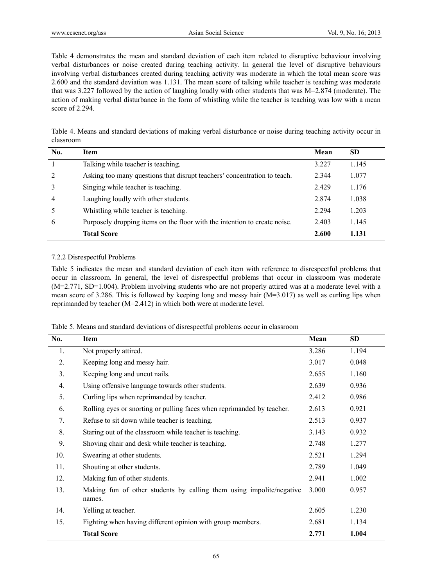Table 4 demonstrates the mean and standard deviation of each item related to disruptive behaviour involving verbal disturbances or noise created during teaching activity. In general the level of disruptive behaviours involving verbal disturbances created during teaching activity was moderate in which the total mean score was 2.600 and the standard deviation was 1.131. The mean score of talking while teacher is teaching was moderate that was 3.227 followed by the action of laughing loudly with other students that was M=2.874 (moderate). The action of making verbal disturbance in the form of whistling while the teacher is teaching was low with a mean score of 2.294.

Table 4. Means and standard deviations of making verbal disturbance or noise during teaching activity occur in classroom

| No. | <b>Item</b>                                                               | Mean    | <b>SD</b> |
|-----|---------------------------------------------------------------------------|---------|-----------|
|     | Talking while teacher is teaching.                                        | 3.227   | 1.145     |
| 2   | Asking too many questions that disrupt teachers' concentration to teach.  | 2.344   | 1.077     |
|     | Singing while teacher is teaching.                                        | 2.429   | 1.176     |
| 4   | Laughing loudly with other students.                                      | 2.874   | 1.038     |
|     | Whistling while teacher is teaching.                                      | 2 2 9 4 | 1.203     |
| 6   | Purposely dropping items on the floor with the intention to create noise. | 2.403   | 1.145     |
|     | <b>Total Score</b>                                                        | 2.600   | 1.131     |

# 7.2.2 Disrespectful Problems

Table 5 indicates the mean and standard deviation of each item with reference to disrespectful problems that occur in classroom. In general, the level of disrespectful problems that occur in classroom was moderate (M=2.771, SD=1.004). Problem involving students who are not properly attired was at a moderate level with a mean score of 3.286. This is followed by keeping long and messy hair  $(M=3.017)$  as well as curling lips when reprimanded by teacher (M=2.412) in which both were at moderate level.

|  | Table 5. Means and standard deviations of disrespectful problems occur in classroom |
|--|-------------------------------------------------------------------------------------|
|--|-------------------------------------------------------------------------------------|

| No. | Item                                                                           | Mean  | <b>SD</b> |
|-----|--------------------------------------------------------------------------------|-------|-----------|
| 1.  | Not properly attired.                                                          | 3.286 | 1.194     |
| 2.  | Keeping long and messy hair.                                                   | 3.017 | 0.048     |
| 3.  | Keeping long and uncut nails.                                                  | 2.655 | 1.160     |
| 4.  | Using offensive language towards other students.                               | 2.639 | 0.936     |
| 5.  | Curling lips when reprimanded by teacher.                                      | 2.412 | 0.986     |
| 6.  | Rolling eyes or snorting or pulling faces when reprimanded by teacher.         | 2.613 | 0.921     |
| 7.  | Refuse to sit down while teacher is teaching.                                  | 2.513 | 0.937     |
| 8.  | Staring out of the classroom while teacher is teaching.                        | 3.143 | 0.932     |
| 9.  | Shoving chair and desk while teacher is teaching.                              | 2.748 | 1.277     |
| 10. | Swearing at other students.                                                    | 2.521 | 1.294     |
| 11. | Shouting at other students.                                                    | 2.789 | 1.049     |
| 12. | Making fun of other students.                                                  | 2.941 | 1.002     |
| 13. | Making fun of other students by calling them using impolite/negative<br>names. | 3.000 | 0.957     |
| 14. | Yelling at teacher.                                                            | 2.605 | 1.230     |
| 15. | Fighting when having different opinion with group members.                     | 2.681 | 1.134     |
|     | <b>Total Score</b>                                                             | 2.771 | 1.004     |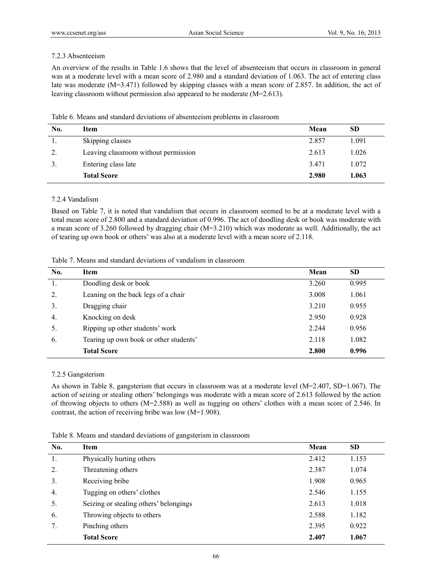## 7.2.3 Absenteeism

An overview of the results in Table 1.6 shows that the level of absenteeism that occurs in classroom in general was at a moderate level with a mean score of 2.980 and a standard deviation of 1.063. The act of entering class late was moderate (M=3.471) followed by skipping classes with a mean score of 2.857. In addition, the act of leaving classroom without permission also appeared to be moderate (M=2.613).

| Table 6. Means and standard deviations of absenteeism problems in classroom |  |
|-----------------------------------------------------------------------------|--|
|-----------------------------------------------------------------------------|--|

| No. | Item                                 | Mean  | <b>SD</b> |
|-----|--------------------------------------|-------|-----------|
|     | Skipping classes                     | 2.857 | 1.091     |
| 2.  | Leaving classroom without permission | 2.613 | 1.026     |
|     | Entering class late                  | 3.471 | 1.072     |
|     | <b>Total Score</b>                   | 2.980 | 1.063     |

# 7.2.4 Vandalism

Based on Table 7, it is noted that vandalism that occurs in classroom seemed to be at a moderate level with a total mean score of 2.800 and a standard deviation of 0.996. The act of doodling desk or book was moderate with a mean score of 3.260 followed by dragging chair (M=3.210) which was moderate as well. Additionally, the act of tearing up own book or others' was also at a moderate level with a mean score of 2.118.

| Table 7. Means and standard deviations of vandalism in classroom |  |  |  |  |  |  |
|------------------------------------------------------------------|--|--|--|--|--|--|
|------------------------------------------------------------------|--|--|--|--|--|--|

| No.            | <b>Item</b>                            | Mean  | <b>SD</b> |
|----------------|----------------------------------------|-------|-----------|
| 1.             | Doodling desk or book                  | 3.260 | 0.995     |
| 2.             | Leaning on the back legs of a chair    | 3.008 | 1.061     |
| 3.             | Dragging chair                         | 3.210 | 0.955     |
| $\overline{4}$ | Knocking on desk                       | 2.950 | 0.928     |
| 5.             | Ripping up other students' work        | 2.244 | 0.956     |
| 6.             | Tearing up own book or other students' | 2.118 | 1.082     |
|                | <b>Total Score</b>                     | 2.800 | 0.996     |

# 7.2.5 Gangsterism

As shown in Table 8, gangsterism that occurs in classroom was at a moderate level (M=2.407, SD=1.067). The action of seizing or stealing others' belongings was moderate with a mean score of 2.613 followed by the action of throwing objects to others (M=2.588) as well as tugging on others' clothes with a mean score of 2.546. In contrast, the action of receiving bribe was low (M=1.908).

Table 8. Means and standard deviations of gangsterism in classroom

| No. | <b>Item</b>                            | Mean  | <b>SD</b> |
|-----|----------------------------------------|-------|-----------|
| 1.  | Physically hurting others              | 2.412 | 1.153     |
| 2.  | Threatening others                     | 2.387 | 1.074     |
| 3.  | Receiving bribe                        | 1.908 | 0.965     |
| 4.  | Tugging on others' clothes             | 2.546 | 1.155     |
| 5.  | Seizing or stealing others' belongings | 2.613 | 1.018     |
| 6.  | Throwing objects to others             | 2.588 | 1.182     |
| 7.  | Pinching others                        | 2.395 | 0.922     |
|     | <b>Total Score</b>                     | 2.407 | 1.067     |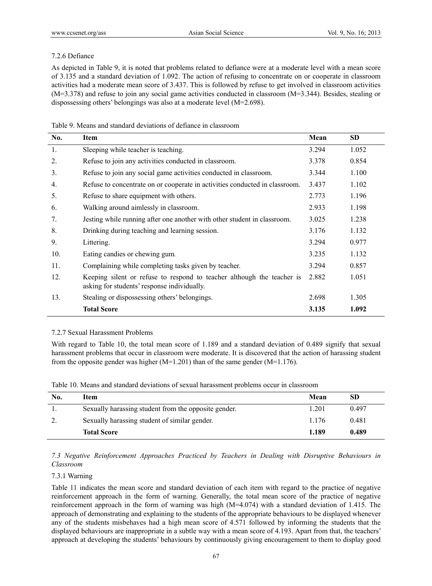# 7.2.6 Defiance

As depicted in Table 9, it is noted that problems related to defiance were at a moderate level with a mean score of 3.135 and a standard deviation of 1.092. The action of refusing to concentrate on or cooperate in classroom activities had a moderate mean score of 3.437. This is followed by refuse to get involved in classroom activities (M=3.378) and refuse to join any social game activities conducted in classroom (M=3.344). Besides, stealing or dispossessing others' belongings was also at a moderate level (M=2.698).

| No. | <b>Item</b>                                                                                                           | Mean  | <b>SD</b> |
|-----|-----------------------------------------------------------------------------------------------------------------------|-------|-----------|
| 1.  | Sleeping while teacher is teaching.                                                                                   | 3.294 | 1.052     |
| 2.  | Refuse to join any activities conducted in classroom.                                                                 | 3.378 | 0.854     |
| 3.  | Refuse to join any social game activities conducted in classroom.                                                     | 3.344 | 1.100     |
| 4.  | Refuse to concentrate on or cooperate in activities conducted in classroom.                                           | 3.437 | 1.102     |
| 5.  | Refuse to share equipment with others.                                                                                | 2.773 | 1.196     |
| 6.  | Walking around aimlessly in classroom.                                                                                | 2.933 | 1.198     |
| 7.  | Jesting while running after one another with other student in classroom.                                              | 3.025 | 1.238     |
| 8.  | Drinking during teaching and learning session.                                                                        | 3.176 | 1.132     |
| 9.  | Littering.                                                                                                            | 3.294 | 0.977     |
| 10. | Eating candies or chewing gum.                                                                                        | 3.235 | 1.132     |
| 11. | Complaining while completing tasks given by teacher.                                                                  | 3.294 | 0.857     |
| 12. | Keeping silent or refuse to respond to teacher although the teacher is<br>asking for students' response individually. | 2.882 | 1.051     |
| 13. | Stealing or dispossessing others' belongings.                                                                         | 2.698 | 1.305     |
|     | <b>Total Score</b>                                                                                                    | 3.135 | 1.092     |

# 7.2.7 Sexual Harassment Problems

With regard to Table 10, the total mean score of 1.189 and a standard deviation of 0.489 signify that sexual harassment problems that occur in classroom were moderate. It is discovered that the action of harassing student from the opposite gender was higher  $(M=1.201)$  than of the same gender  $(M=1.176)$ .

|  |  |  |  | Table 10. Means and standard deviations of sexual harassment problems occur in classroom |  |  |
|--|--|--|--|------------------------------------------------------------------------------------------|--|--|
|  |  |  |  |                                                                                          |  |  |

| No. | Item                                                 | Mean  | SD    |
|-----|------------------------------------------------------|-------|-------|
|     | Sexually harassing student from the opposite gender. | .201  | 0.497 |
|     | Sexually harassing student of similar gender.        | 1.176 | 0.481 |
|     | <b>Total Score</b>                                   | 1.189 | 0.489 |

*7.3 Negative Reinforcement Approaches Practiced by Teachers in Dealing with Disruptive Behaviours in Classroom* 

### 7.3.1 Warning

Table 11 indicates the mean score and standard deviation of each item with regard to the practice of negative reinforcement approach in the form of warning. Generally, the total mean score of the practice of negative reinforcement approach in the form of warning was high (M=4.074) with a standard deviation of 1.415. The approach of demonstrating and explaining to the students of the appropriate behaviours to be displayed whenever any of the students misbehaves had a high mean score of 4.571 followed by informing the students that the displayed behaviours are inappropriate in a subtle way with a mean score of 4.193. Apart from that, the teachers' approach at developing the students' behaviours by continuously giving encouragement to them to display good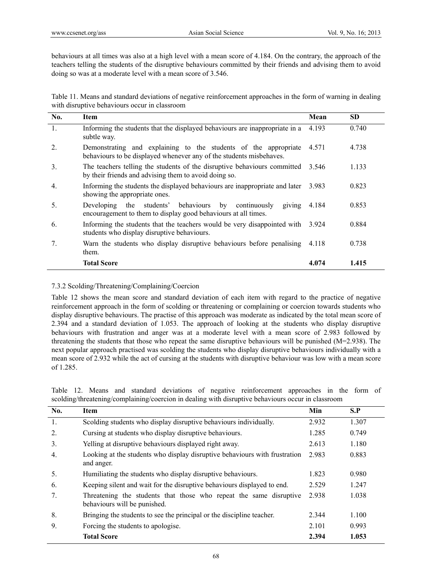behaviours at all times was also at a high level with a mean score of 4.184. On the contrary, the approach of the teachers telling the students of the disruptive behaviours committed by their friends and advising them to avoid doing so was at a moderate level with a mean score of 3.546.

Table 11. Means and standard deviations of negative reinforcement approaches in the form of warning in dealing with disruptive behaviours occur in classroom

| No.              | <b>Item</b>                                                                                                                             | Mean  | <b>SD</b> |
|------------------|-----------------------------------------------------------------------------------------------------------------------------------------|-------|-----------|
| 1.               | Informing the students that the displayed behaviours are inappropriate in a<br>subtle way.                                              | 4.193 | 0.740     |
| $\overline{2}$ . | Demonstrating and explaining to the students of the appropriate<br>behaviours to be displayed whenever any of the students misbehaves.  | 4.571 | 4.738     |
| $\overline{3}$ . | The teachers telling the students of the disruptive behaviours committed 3.546<br>by their friends and advising them to avoid doing so. |       | 1.133     |
| $\overline{4}$ . | Informing the students the displayed behaviours are inappropriate and later<br>showing the appropriate ones.                            | 3.983 | 0.823     |
| 5.               | Developing the students' behaviours by continuously<br>giving<br>encouragement to them to display good behaviours at all times.         | 4.184 | 0.853     |
| 6.               | Informing the students that the teachers would be very disappointed with 3.924<br>students who display disruptive behaviours.           |       | 0.884     |
| $7_{\cdot}$      | Warn the students who display disruptive behaviours before penalising<br>them.                                                          | 4.118 | 0.738     |
|                  | <b>Total Score</b>                                                                                                                      | 4.074 | 1.415     |

### 7.3.2 Scolding/Threatening/Complaining/Coercion

Table 12 shows the mean score and standard deviation of each item with regard to the practice of negative reinforcement approach in the form of scolding or threatening or complaining or coercion towards students who display disruptive behaviours. The practise of this approach was moderate as indicated by the total mean score of 2.394 and a standard deviation of 1.053. The approach of looking at the students who display disruptive behaviours with frustration and anger was at a moderate level with a mean score of 2.983 followed by threatening the students that those who repeat the same disruptive behaviours will be punished (M=2.938). The next popular approach practised was scolding the students who display disruptive behaviours individually with a mean score of 2.932 while the act of cursing at the students with disruptive behaviour was low with a mean score of 1.285.

|  |  |  |  | Table 12. Means and standard deviations of negative reinforcement approaches in the form of        |  |  |  |
|--|--|--|--|----------------------------------------------------------------------------------------------------|--|--|--|
|  |  |  |  | scolding/threatening/complaining/coercion in dealing with disruptive behaviours occur in classroom |  |  |  |

| No.         | <b>Item</b>                                                                                        | Min   | S.P   |
|-------------|----------------------------------------------------------------------------------------------------|-------|-------|
| 1.          | Scolding students who display disruptive behaviours individually.                                  | 2.932 | 1.307 |
| 2.          | Cursing at students who display disruptive behaviours.                                             | 1.285 | 0.749 |
| 3.          | Yelling at disruptive behaviours displayed right away.                                             | 2.613 | 1.180 |
| 4.          | Looking at the students who display disruptive behaviours with frustration<br>and anger.           | 2.983 | 0.883 |
| 5.          | Humiliating the students who display disruptive behaviours.                                        | 1.823 | 0.980 |
| 6.          | Keeping silent and wait for the disruptive behaviours displayed to end.                            | 2.529 | 1.247 |
| $7_{\cdot}$ | Threatening the students that those who repeat the same disruptive<br>behaviours will be punished. | 2.938 | 1.038 |
| 8.          | Bringing the students to see the principal or the discipline teacher.                              | 2.344 | 1.100 |
| 9.          | Forcing the students to apologise.                                                                 | 2.101 | 0.993 |
|             | <b>Total Score</b>                                                                                 | 2.394 | 1.053 |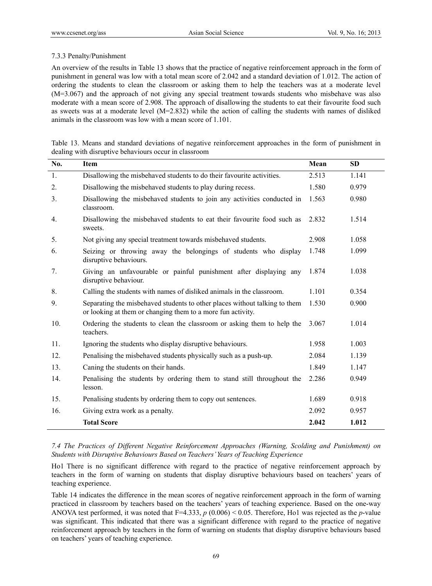## 7.3.3 Penalty/Punishment

An overview of the results in Table 13 shows that the practice of negative reinforcement approach in the form of punishment in general was low with a total mean score of 2.042 and a standard deviation of 1.012. The action of ordering the students to clean the classroom or asking them to help the teachers was at a moderate level (M=3.067) and the approach of not giving any special treatment towards students who misbehave was also moderate with a mean score of 2.908. The approach of disallowing the students to eat their favourite food such as sweets was at a moderate level  $(M=2.832)$  while the action of calling the students with names of disliked animals in the classroom was low with a mean score of 1.101.

| Table 13. Means and standard deviations of negative reinforcement approaches in the form of punishment in |  |  |
|-----------------------------------------------------------------------------------------------------------|--|--|
| dealing with disruptive behaviours occur in classroom                                                     |  |  |

| No. | <b>Item</b>                                                                                                                               | Mean  | <b>SD</b> |
|-----|-------------------------------------------------------------------------------------------------------------------------------------------|-------|-----------|
| 1.  | Disallowing the misbehaved students to do their favourite activities.                                                                     | 2.513 | 1.141     |
| 2.  | Disallowing the misbehaved students to play during recess.                                                                                | 1.580 | 0.979     |
| 3.  | Disallowing the misbehaved students to join any activities conducted in<br>classroom.                                                     | 1.563 | 0.980     |
| 4.  | Disallowing the misbehaved students to eat their favourite food such as<br>sweets.                                                        | 2.832 | 1.514     |
| 5.  | Not giving any special treatment towards misbehaved students.                                                                             | 2.908 | 1.058     |
| 6.  | Seizing or throwing away the belongings of students who display<br>disruptive behaviours.                                                 | 1.748 | 1.099     |
| 7.  | Giving an unfavourable or painful punishment after displaying any<br>disruptive behaviour.                                                | 1.874 | 1.038     |
| 8.  | Calling the students with names of disliked animals in the classroom.                                                                     | 1.101 | 0.354     |
| 9.  | Separating the misbehaved students to other places without talking to them<br>or looking at them or changing them to a more fun activity. | 1.530 | 0.900     |
| 10. | Ordering the students to clean the classroom or asking them to help the<br>teachers.                                                      | 3.067 | 1.014     |
| 11. | Ignoring the students who display disruptive behaviours.                                                                                  | 1.958 | 1.003     |
| 12. | Penalising the misbehaved students physically such as a push-up.                                                                          | 2.084 | 1.139     |
| 13. | Caning the students on their hands.                                                                                                       | 1.849 | 1.147     |
| 14. | Penalising the students by ordering them to stand still throughout the<br>lesson.                                                         | 2.286 | 0.949     |
| 15. | Penalising students by ordering them to copy out sentences.                                                                               | 1.689 | 0.918     |
| 16. | Giving extra work as a penalty.                                                                                                           | 2.092 | 0.957     |
|     | <b>Total Score</b>                                                                                                                        | 2.042 | 1.012     |

*7.4 The Practices of Different Negative Reinforcement Approaches (Warning, Scolding and Punishment) on Students with Disruptive Behaviours Based on Teachers' Years of Teaching Experience* 

Ho1 There is no significant difference with regard to the practice of negative reinforcement approach by teachers in the form of warning on students that display disruptive behaviours based on teachers' years of teaching experience.

Table 14 indicates the difference in the mean scores of negative reinforcement approach in the form of warning practiced in classroom by teachers based on the teachers' years of teaching experience. Based on the one-way ANOVA test performed, it was noted that F=4.333, *p* (0.006) < 0.05. Therefore, Ho1 was rejected as the *p*-value was significant. This indicated that there was a significant difference with regard to the practice of negative reinforcement approach by teachers in the form of warning on students that display disruptive behaviours based on teachers' years of teaching experience.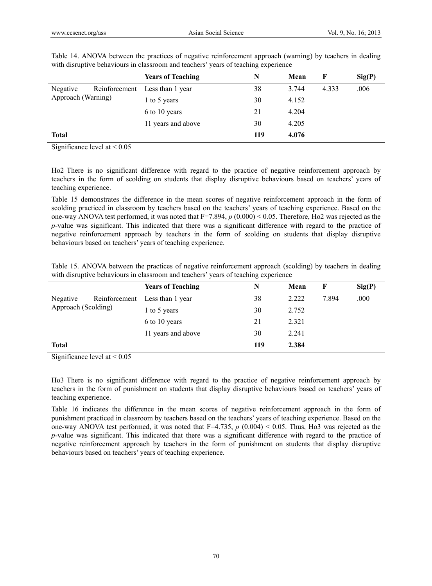| <b>Years of Teaching</b> | N   | Mean  | F     | Sig(P) |
|--------------------------|-----|-------|-------|--------|
| Less than 1 year         | 38  | 3.744 | 4.333 | .006   |
| 1 to 5 years             | 30  | 4.152 |       |        |
| 6 to 10 years            | 21  | 4.204 |       |        |
| 11 years and above       | 30  | 4.205 |       |        |
|                          | 119 | 4.076 |       |        |
|                          |     |       |       |        |

Table 14. ANOVA between the practices of negative reinforcement approach (warning) by teachers in dealing with disruptive behaviours in classroom and teachers' years of teaching experience

Significance level at  $\leq 0.05$ 

Ho2 There is no significant difference with regard to the practice of negative reinforcement approach by teachers in the form of scolding on students that display disruptive behaviours based on teachers' years of teaching experience.

Table 15 demonstrates the difference in the mean scores of negative reinforcement approach in the form of scolding practiced in classroom by teachers based on the teachers' years of teaching experience. Based on the one-way ANOVA test performed, it was noted that F=7.894, *p* (0.000) < 0.05. Therefore, Ho2 was rejected as the *p*-value was significant. This indicated that there was a significant difference with regard to the practice of negative reinforcement approach by teachers in the form of scolding on students that display disruptive behaviours based on teachers' years of teaching experience.

Table 15. ANOVA between the practices of negative reinforcement approach (scolding) by teachers in dealing with disruptive behaviours in classroom and teachers' years of teaching experience

| Sig(P) |  |
|--------|--|
| .000   |  |
|        |  |
|        |  |
|        |  |
|        |  |
|        |  |

Significance level at  $\leq 0.05$ 

Ho3 There is no significant difference with regard to the practice of negative reinforcement approach by teachers in the form of punishment on students that display disruptive behaviours based on teachers' years of teaching experience.

Table 16 indicates the difference in the mean scores of negative reinforcement approach in the form of punishment practiced in classroom by teachers based on the teachers' years of teaching experience. Based on the one-way ANOVA test performed, it was noted that  $F=4.735$ ,  $p(0.004) < 0.05$ . Thus, Ho3 was rejected as the *p*-value was significant. This indicated that there was a significant difference with regard to the practice of negative reinforcement approach by teachers in the form of punishment on students that display disruptive behaviours based on teachers' years of teaching experience.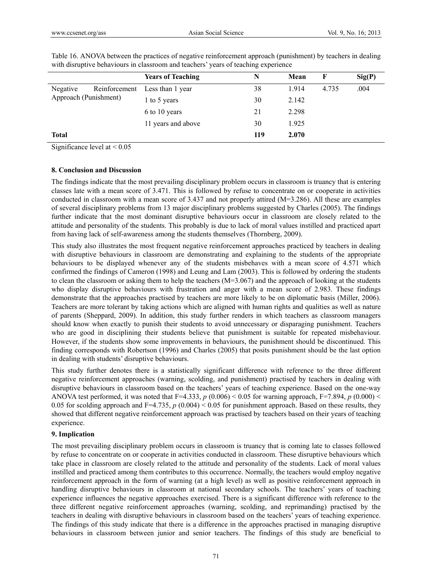|                                   |               | <b>Years of Teaching</b> | N   | Mean  | F     | Sig(P) |
|-----------------------------------|---------------|--------------------------|-----|-------|-------|--------|
| Negative<br>Approach (Punishment) | Reinforcement | Less than 1 year         | 38  | 1.914 | 4.735 | .004   |
|                                   |               | 1 to 5 years             | 30  | 2.142 |       |        |
|                                   |               | 6 to 10 years            | 21  | 2.298 |       |        |
|                                   |               | 11 years and above       | 30  | 1.925 |       |        |
| <b>Total</b>                      |               |                          | 119 | 2.070 |       |        |

Table 16. ANOVA between the practices of negative reinforcement approach (punishment) by teachers in dealing with disruptive behaviours in classroom and teachers' years of teaching experience

Significance level at < 0.05

#### **8. Conclusion and Discussion**

The findings indicate that the most prevailing disciplinary problem occurs in classroom is truancy that is entering classes late with a mean score of 3.471. This is followed by refuse to concentrate on or cooperate in activities conducted in classroom with a mean score of 3.437 and not properly attired (M=3.286). All these are examples of several disciplinary problems from 13 major disciplinary problems suggested by Charles (2005). The findings further indicate that the most dominant disruptive behaviours occur in classroom are closely related to the attitude and personality of the students. This probably is due to lack of moral values instilled and practiced apart from having lack of self-awareness among the students themselves (Thornberg, 2009).

This study also illustrates the most frequent negative reinforcement approaches practiced by teachers in dealing with disruptive behaviours in classroom are demonstrating and explaining to the students of the appropriate behaviours to be displayed whenever any of the students misbehaves with a mean score of 4.571 which confirmed the findings of Cameron (1998) and Leung and Lam (2003). This is followed by ordering the students to clean the classroom or asking them to help the teachers (M=3.067) and the approach of looking at the students who display disruptive behaviours with frustration and anger with a mean score of 2.983. These findings demonstrate that the approaches practised by teachers are more likely to be on diplomatic basis (Miller, 2006). Teachers are more tolerant by taking actions which are aligned with human rights and qualities as well as nature of parents (Sheppard, 2009). In addition, this study further renders in which teachers as classroom managers should know when exactly to punish their students to avoid unnecessary or disparaging punishment. Teachers who are good in disciplining their students believe that punishment is suitable for repeated misbehaviour. However, if the students show some improvements in behaviours, the punishment should be discontinued. This finding corresponds with Robertson (1996) and Charles (2005) that posits punishment should be the last option in dealing with students' disruptive behaviours.

This study further denotes there is a statistically significant difference with reference to the three different negative reinforcement approaches (warning, scolding, and punishment) practised by teachers in dealing with disruptive behaviours in classroom based on the teachers' years of teaching experience. Based on the one-way ANOVA test performed, it was noted that F=4.333,  $p(0.006) < 0.05$  for warning approach, F=7.894,  $p(0.000) <$ 0.05 for scolding approach and F=4.735,  $p$  (0.004) < 0.05 for punishment approach. Based on these results, they showed that different negative reinforcement approach was practised by teachers based on their years of teaching experience.

#### **9. Implication**

The most prevailing disciplinary problem occurs in classroom is truancy that is coming late to classes followed by refuse to concentrate on or cooperate in activities conducted in classroom. These disruptive behaviours which take place in classroom are closely related to the attitude and personality of the students. Lack of moral values instilled and practiced among them contributes to this occurrence. Normally, the teachers would employ negative reinforcement approach in the form of warning (at a high level) as well as positive reinforcement approach in handling disruptive behaviours in classroom at national secondary schools. The teachers' years of teaching experience influences the negative approaches exercised. There is a significant difference with reference to the three different negative reinforcement approaches (warning, scolding, and reprimanding) practised by the teachers in dealing with disruptive behaviours in classroom based on the teachers' years of teaching experience. The findings of this study indicate that there is a difference in the approaches practised in managing disruptive behaviours in classroom between junior and senior teachers. The findings of this study are beneficial to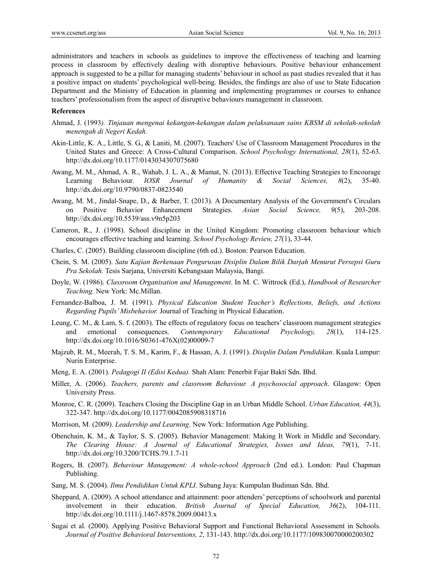administrators and teachers in schools as guidelines to improve the effectiveness of teaching and learning process in classroom by effectively dealing with disruptive behaviours. Positive behaviour enhancement approach is suggested to be a pillar for managing students' behaviour in school as past studies revealed that it has a positive impact on students' psychological well-being. Besides, the findings are also of use to State Education Department and the Ministry of Education in planning and implementing programmes or courses to enhance teachers' professionalism from the aspect of disruptive behaviours management in classroom.

#### **References**

- Ahmad, J. (1993*). Tinjauan mengenai kekangan-kekangan dalam pelaksanaan sains KBSM di sekolah-sekolah menengah di Negeri Kedah.*
- Akin-Little, K. A., Little, S. G., & Laniti, M. (2007). Teachers' Use of Classroom Management Procedures in the United States and Greece: A Cross-Cultural Comparison. *School Psychology International, 28*(1), 52-63. http://dx.doi.org/10.1177/0143034307075680
- Awang, M. M., Ahmad, A. R., Wahab, J. L. A., & Mamat, N. (2013). Effective Teaching Strategies to Encourage Learning Behaviour. *IOSR Journal of Humanity & Social Sciences, 8*(2), 35-40. http://dx.doi.org/10.9790/0837-0823540
- Awang, M. M., Jindal-Snape, D., & Barber, T. (2013). A Documentary Analysis of the Government's Circulars on Positive Behavior Enhancement Strategies. *Asian Social Science, 9*(5), 203-208. http://dx.doi.org/10.5539/ass.v9n5p203
- Cameron, R., J. (1998). School discipline in the United Kingdom: Promoting classroom behaviour which encourages effective teaching and learning. *School Psychology Review, 27*(1), 33-44.
- Charles, C. (2005). Building classroom discipline (6th ed.). Boston: Pearson Education.
- Chein, S. M. (2005). *Satu Kajian Berkenaan Pengurusan Disiplin Dalam Bilik Darjah Menurut Persepsi Guru Pra Sekolah.* Tesis Sarjana, Universiti Kebangsaan Malaysia, Bangi.
- Doyle, W. (1986). *Classroom Organisation and Management*. In M. C. Wittrock (Ed.), *Handbook of Researcher Teaching.* New York: Mc.Millan.
- Fernandez-Balboa, J. M. (1991). *Physical Education Student Teacher's Reflections, Beliefs, and Actions Regarding Pupils' Misbehavior.* Journal of Teaching in Physical Education.
- Leung, C. M., & Lam, S. f. (2003). The effects of regulatory focus on teachers' classroom management strategies and emotional consequences. *Contemporary Educational Psychology, 28*(1), 114-125. http://dx.doi.org/10.1016/S0361-476X(02)00009-7
- Majzub, R. M., Meerah, T. S. M., Karim, F., & Hassan, A. J. (1991). *Disiplin Dalam Pendidikan*. Kuala Lumpur: Nurin Enterprise.
- Meng, E. A. (2001). *Pedagogi II (Edisi Kedua).* Shah Alam: Penerbit Fajar Bakti Sdn. Bhd.
- Miller, A. (2006). *Teachers, parents and classroom Behaviour. A psychosocial approach*. Glasgow: Open University Press.
- Monroe, C. R. (2009). Teachers Closing the Discipline Gap in an Urban Middle School. *Urban Education, 44*(3), 322-347. http://dx.doi.org/10.1177/0042085908318716
- Morrison, M. (2009). *Leadership and Learning*. New York: Information Age Publishing.
- Obenchain, K. M., & Taylor, S. S. (2005). Behavior Management: Making It Work in Middle and Secondary. *The Clearing House: A Journal of Educational Strategies, Issues and Ideas, 79*(1), 7-11. http://dx.doi.org/10.3200/TCHS.79.1.7-11
- Rogers, B. (2007). *Behaviour Management: A whole-school Approach* (2nd ed.). London: Paul Chapman Publishing.
- Sang, M. S. (2004). *Ilmu Pendidikan Untuk KPLI*. Subang Jaya: Kumpulan Budiman Sdn. Bhd.
- Sheppard, A. (2009). A school attendance and attainment: poor attenders' perceptions of schoolwork and parental involvement in their education. *British Journal of Special Education, 36*(2), 104-111. http://dx.doi.org/10.1111/j.1467-8578.2009.00413.x
- Sugai et al. (2000). Applying Positive Behavioral Support and Functional Behavioral Assessment in Schools. *Journal of Positive Behavioral Interventions, 2*, 131-143. http://dx.doi.org/10.1177/109830070000200302